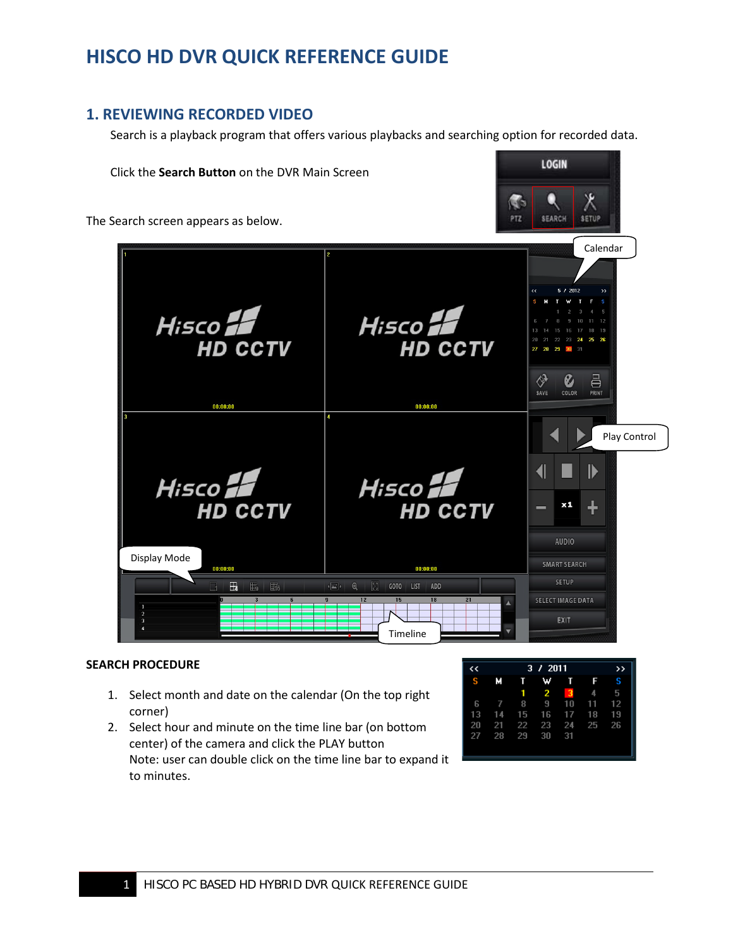# **HISCO HD DVR QUICK REFERENCE GUIDE**

## **1. REVIEWING RECORDED VIDEO**

Search is a playback program that offers various playbacks and searching option for recorded data.



### **SEARCH PROCEDURE**

- 1. Select month and date on the calendar (On the top right corner)
- 2. Select hour and minute on the time line bar (on bottom center) of the camera and click the PLAY button Note: user can double click on the time line bar to expand it to minutes.

| くく | 3 / 2011 |    |              |                         |    | >> |
|----|----------|----|--------------|-------------------------|----|----|
| s  | м        | п  | ₩            | T                       | F  | S  |
|    |          | 1  | $\mathbf{2}$ | $\overline{\mathbf{3}}$ | 4  | 5  |
| 6  | 7        | 8  | 9            | 10                      | 11 | 12 |
| 13 | 14       | 15 | 16           | 17                      | 18 | 19 |
| 20 | 21       | 22 | 23           | 24                      | 25 | 26 |
| 27 | 28       | 29 | 30           | 31                      |    |    |
|    |          |    |              |                         |    |    |
|    |          |    |              |                         |    |    |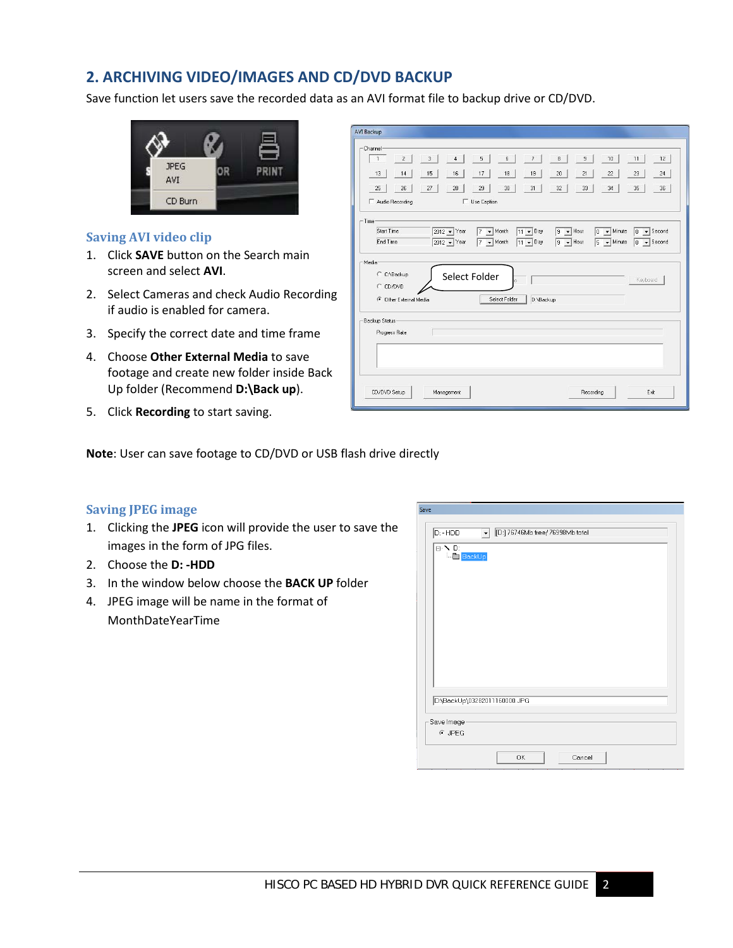## **2. ARCHIVING VIDEO/IMAGES AND CD/DVD BACKUP**

Save function let users save the recorded data as an AVI format file to backup drive or CD/DVD.



### **Saving AVI video clip**

- 1. Click **SAVE** button on the Search main screen and select **AVI**.
- 2. Select Cameras and check Audio Recording if audio is enabled for camera.
- 3. Specify the correct date and time frame
- 4. Choose **Other External Media** to save footage and create new folder inside Back Up folder (Recommend **D:\Back up**).
- 5. Click **Recording** to start saving.

| - Channel-                                               |                                  |                                               |                          |                                  |                                       |                                     |
|----------------------------------------------------------|----------------------------------|-----------------------------------------------|--------------------------|----------------------------------|---------------------------------------|-------------------------------------|
| $\overline{c}$<br>$\mathbf{1}$                           | $\overline{3}$<br>$\overline{4}$ | 5<br>6                                        | $\overline{\phantom{a}}$ | $\bf 8$<br>$\sf{9}$              | 10                                    | 11<br>12                            |
| 13<br>14                                                 | 15<br>16                         | 17<br>18                                      | 19                       | 21<br>20                         | 22                                    | 23<br>24                            |
| 25<br>26                                                 | 27<br>28                         | 29<br>30                                      | 31                       | 32<br>33                         | 34                                    | 35<br>36                            |
| Audio Recording                                          |                                  | Use Caption                                   |                          |                                  |                                       |                                     |
| $-$ Time                                                 |                                  |                                               |                          |                                  |                                       |                                     |
| Start Time                                               | 2012 - Year                      | $7 -$ Month                                   | $11 - Day$               | $\blacktriangleright$ Hour<br>19 | $\overline{\mathbf{v}}$ Minute<br>lo. | $\overline{\bullet}$ Second<br>la.  |
| End Time                                                 | 2012 - Year                      | $\blacktriangleright$ Month<br>$\overline{7}$ | $11 - Day$               | $9 -$ Hour                       | $\blacktriangleright$ Minute<br>5     | $\blacktriangleright$ Second<br>la. |
| C C:\Backup<br>C CD/DVD<br><b>C</b> Other External Media |                                  | Select Folder<br>Select Folder                | D:\Backup                |                                  |                                       | Keyboard                            |
| Backup Status                                            |                                  |                                               |                          |                                  |                                       |                                     |
|                                                          |                                  |                                               |                          |                                  |                                       |                                     |
| Progress Rate                                            |                                  |                                               |                          |                                  |                                       |                                     |
|                                                          |                                  |                                               |                          |                                  |                                       |                                     |
|                                                          |                                  |                                               |                          |                                  |                                       |                                     |
|                                                          |                                  |                                               |                          |                                  |                                       |                                     |

**Note**: User can save footage to CD/DVD or USB flash drive directly

#### **Saving JPEG image**

- 1. Clicking the **JPEG** icon will provide the user to save the images in the form of JPG files.
- 2. Choose the **D: -HDD**
- 3. In the window below choose the **BACK UP** folder
- 4. JPEG image will be name in the format of MonthDateYearTime

| ⊟- N D:<br><b>BackUp</b> | $\boxed{\mathbf{C}}$ $\boxed{\text{[D:]} 76746\text{Mb free} / 76998\text{Mb total}}$ |  |  |
|--------------------------|---------------------------------------------------------------------------------------|--|--|
|                          |                                                                                       |  |  |
|                          |                                                                                       |  |  |
|                          |                                                                                       |  |  |
|                          |                                                                                       |  |  |
|                          |                                                                                       |  |  |
|                          | D:\BackUp\03282011160000.JPG                                                          |  |  |
| Save Image               |                                                                                       |  |  |
| $G$ JPEG                 |                                                                                       |  |  |